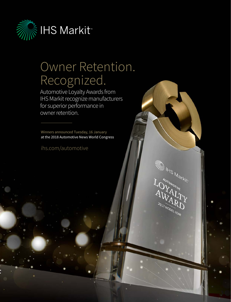

## Owner Retention. Recognized.

Automotive Loyalty Awards from IHS Markit recognize manufacturers for superior performance in owner retention.

Winners announced Tuesday, 16 January at the 2018 Automotive News World Congress

[ihs.com/automotive](http://ihs.com/automotive)

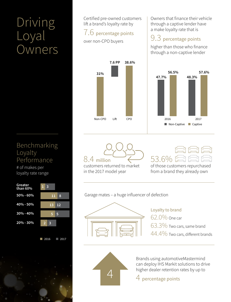# Driving Loyal Owners

Benchmarking Loyalty Performance

# of makes per loyalty rate range



2016 2017

Certified pre-owned customers lift a brand's loyalty rate by

## 7.6 percentage points

over non-CPO buyers



8.4 million

customers returned to market in the 2017 model year

Owners that finance their vehicle through a captive lender have a make loyalty rate that is

## 9.3 percentage points

higher than those who finance through a non-captive lender





of those customers repurchased from a brand they already own

Garage mates – a huge influencer of defection



Loyalty to brand 62.0% One car

63.3% Two cars, same brand

44.4% Two cars, different brands



Brands using automotiveMastermind can deploy IHS Markit solutions to drive higher dealer retention rates by up to

4 percentage points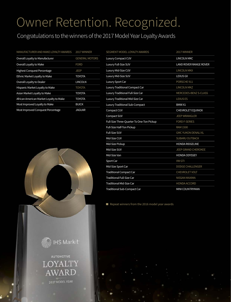# Owner Retention. Recognized.

## Congratulations to the winners of the 2017 Model Year Loyalty Awards

#### MANUFACTURER AND MAKE LOYALTY AWARDS 2017 WINNER

| Overall Loyalty to Manufacturer         | <b>GENERAL MOTORS</b> |
|-----------------------------------------|-----------------------|
| Overall Loyalty to Make                 | <b>FORD</b>           |
| <b>Highest Conquest Percentage</b>      | <b>JEEP</b>           |
| Ethnic Market Loyalty to Make           | <b>TOYOTA</b>         |
| Overall Loyalty to Dealer               | <b>LINCOLN</b>        |
| Hispanic Market Loyalty to Make         | <b>TOYOTA</b>         |
| Asian Market Loyalty to Make            | <b>TOYOTA</b>         |
| African American Market Loyalty to Make | <b>TOYOTA</b>         |
| Most Improved Loyalty to Make           | <b>BUICK</b>          |
| Most Improved Conquest Percentage       | <b>JAGUAR</b>         |



| <b>SEGMENT MODEL LOYALTY AWARDS</b>       | 2017 WINNER                   |
|-------------------------------------------|-------------------------------|
| <b>Luxury Compact CUV</b>                 | <b>LINCOLN MKC</b>            |
| Luxury Full-Size SUV                      | <b>LAND ROVER RANGE ROVER</b> |
| Luxury Mid-Size CUV                       | <b>LINCOLN MKX</b>            |
| Luxury Mid-Size SUV                       | <b>LEXUS GX</b>               |
| Luxury Sport Car                          | PORSCHE 911                   |
| <b>Luxury Traditional Compact Car</b>     | <b>LINCOLN MKZ</b>            |
| Luxury Traditional Full-Size Car          | MERCEDES-BENZ S-CLASS         |
| Luxury Traditional Mid-Size Car           | <b>LEXUS ES</b>               |
| <b>Luxury Traditional Sub-Compact</b>     | BMW <sub>X1</sub>             |
| Compact CUV                               | <b>CHEVROLET EQUINOX</b>      |
| Compact SUV                               | <b>JEEP WRANGLER</b>          |
| Full-Size Three-Quarter To One-Ton Pickup | <b>FORD F-SERIES</b>          |
| Full-Size Half-Ton Pickup                 | <b>RAM 1500</b>               |
| <b>Full-Size SUV</b>                      | <b>GMC YUKON DENALI XL</b>    |
| Mid-Size CUV                              | <b>SUBARU OUTBACK</b>         |
| Mid-Size Pickup                           | <b>HONDA RIDGELINE</b>        |
| Mid-Size SUV                              | <b>JEEP GRAND CHEROKEE</b>    |
| Mid-Size Van                              | <b>HONDA ODYSSEY</b>          |
| Sport Car                                 | <b>VW GTI</b>                 |
| Mid-Size Sport Car                        | <b>DODGE CHALLENGER</b>       |
| <b>Traditional Compact Car</b>            | <b>CHEVROLET VOLT</b>         |
| <b>Traditional Full-Size Car</b>          | <b>NISSAN MAXIMA</b>          |
| <b>Traditional Mid-Size Car</b>           | <b>HONDA ACCORD</b>           |
| <b>Traditional Sub-Compact Car</b>        | <b>MINI COUNTRYMAN</b>        |

 $\blacksquare$  Repeat winners from the 2016 model year awards